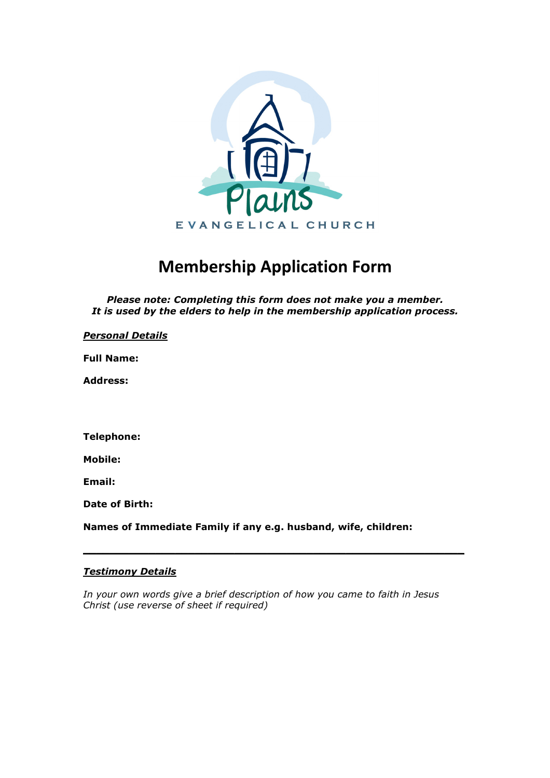

# **Membership Application Form**

*Please note: Completing this form does not make you a member. It is used by the elders to help in the membership application process.* 

## *Personal Details*

**Full Name:** 

**Address:** 

**Telephone:** 

**Mobile:** 

**Email:** 

**Date of Birth:** 

**Names of Immediate Family if any e.g. husband, wife, children:** 

# *Testimony Details*

*In your own words give a brief description of how you came to faith in Jesus Christ (use reverse of sheet if required)* 

**\_\_\_\_\_\_\_\_\_\_\_\_\_\_\_\_\_\_\_\_\_\_\_\_\_\_\_\_\_\_\_\_\_\_\_\_\_\_\_\_\_\_\_\_\_\_\_\_\_\_\_\_\_\_\_\_\_\_**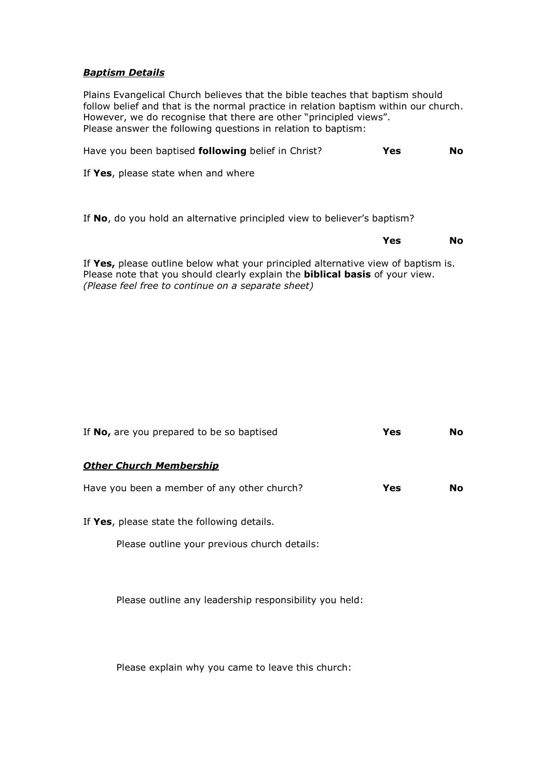## *Baptism Details*

Plains Evangelical Church believes that the bible teaches that baptism should follow belief and that is the normal practice in relation baptism within our church. However, we do recognise that there are other "principled views". Please answer the following questions in relation to baptism:

| Have you been baptised following belief in Christ? | Yes | No |
|----------------------------------------------------|-----|----|
|----------------------------------------------------|-----|----|

If **Yes**, please state when and where

If **No**, do you hold an alternative principled view to believer's baptism?

#### **Yes No**

If **Yes,** please outline below what your principled alternative view of baptism is. Please note that you should clearly explain the **biblical basis** of your view. *(Please feel free to continue on a separate sheet)*

| If No, are you prepared to be so baptised    | Yes | No. |
|----------------------------------------------|-----|-----|
| <b>Other Church Membership</b>               |     |     |
| Have you been a member of any other church?  | Yes | No. |
| If Yes, please state the following details.  |     |     |
| Please outline your previous church details: |     |     |
|                                              |     |     |
|                                              |     |     |

Please explain why you came to leave this church:

Please outline any leadership responsibility you held: